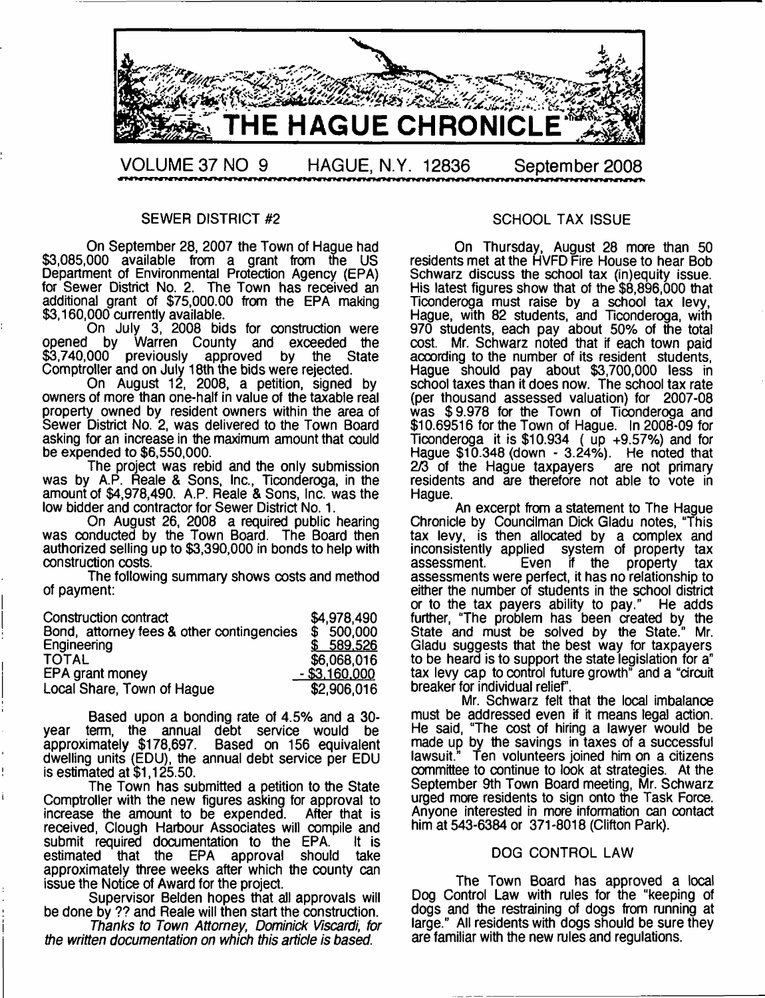

#### SEWER DISTRICT #2

On September 28, 2007 the Town of Hague had \$3,085,000 available from a grant from the US Department of Environmental Protection Agency (EPA) for Sewer District No. 2. The Town has received an additional grant of \$75,000.00 from the EPA making \$3,160,000 currently available.

On July 3, 2008 bids for construction were<br>opened by Warren County and exceeded the Warren County and exceeded the<br>
previously approved by the State  $$3.740,000$  previously approved by the Comptroller and on July 18th the bids were rejected.

On August 12, 2008, a petition, signed by owners of more than one-half in value of the taxable real property owned by resident owners within the area of Sewer District No. 2, was delivered to the Town Board asking for an increase in the maximum amount that could be expended to \$6,550,000.

The project was rebid and the only submission was by A.P. Reale & Sons, Inc., Ticonderoga, in the amount of \$4,978,490. A.P. Reale & Sons, Inc. was the low bidder and contractor for Sewer District No. 1.

On August 26, 2008 a required public hearing was conducted by the Town Board. The Board then authorized selling up to \$3,390,000 in bonds to help with construction costs.

The following summary shows costs and method of payment:

| Construction contract                     | \$4,978,490          |
|-------------------------------------------|----------------------|
| Bond, attorney fees & other contingencies | \$500,000            |
| Engineering                               | \$589,526            |
| <b>TOTAL</b>                              | \$6,068,016          |
| EPA grant money                           | <u>- \$3,160,000</u> |
| Local Share, Town of Hague                | \$2,906,016          |

Based upon a bonding rate of 4.5% and a 30 year term, the annual debt service would be approximately \$178,697. Based on 156 equivalent dwelling units (EDU), the annual debt service per EDU is estimated at \$1,125.50.

The Town has submitted a petition to the State Comptroller with the new figures asking for approval to increase the amount to be expended. After that is increase the amount to be expended. received, Clough Harbour Associates will compile and submit required documentation to the EPA. It is estimated that the EPA approval should take that the  $EPA$ approximately three weeks after which the county can issue the Notice of Award for the project.

Supervisor Belden hopes that all approvals will be done by ?? and Reale will then start the construction.

*Thanks to Town Attorney*, *Dominick Viscardi, for the written documentation on which this article is based.*

#### SCHOOL TAX ISSUE

On Thursday, August 28 more than 50 residents met at the HVFD Fire House to hear Bob Schwarz discuss the school tax (in)equity issue. His latest figures show that of the \$8,896,000 that Ticonderoga must raise by a school tax levy, Hague, with 82 students, and Ticonderoga, with 970 students, each pay about 50% of the total cost. Mr. Schwarz noted that if each town paid acoording to the number of its resident students, Hague should pay about \$3,700,000 less in school taxes than it does now. The school tax rate (per thousand assessed valuation) for 2007-08 was \$9.978 for the Town of Ticonderoga and \$10.69516 for the Town of Hague. In 2008-09 for Ticonderoga it is \$10,934 ( up +9.57%) and for Hague \$10,348 (down - 3.24%). He noted that  $2/3$  of the Hague taxpayers  $\frac{1}{2}$  are not primary residents and are therefore not able to vote in Hague.

An excerpt from a statement to The Hague Chronicle by Councilman Dick Gladu notes, "This tax levy, is then allocated by a complex and inconsistently applied system of property tax if the property assessments were perfect, it has no relationship to either the number of students in the school district or to the tax payers ability to pay." He adds further, "The problem has been created by the State and must be solved by the State." Mr. Gladu suggests that the best way for taxpayers to be heard is to support the state legislation for a" tax levy cap to control future growth" and a "circuit breaker for individual relief.

Mr. Schwarz felt that the local imbalance must be addressed even if it means legal action. He said, "The cost of hiring a lawyer would be made up by the savings in taxes of a successful<br>lawsuit." Ten volunteers joined him on a citizens Ten volunteers joined him on a citizens committee to continue to look at strategies. At the September 9th Town Board meeting, Mr. Schwarz urged more residents to sign onto the Task Force. Anyone interested in more information can contact him at 543-6384 or 371-8018 (Clifton Park).

#### DOG CONTROL LAW

The Town Board has approved a local Dog Control Law with rules for the "keeping of dogs and the restraining of dogs from running at large." All residents with dogs should be sure they are familiar with the new rules and regulations.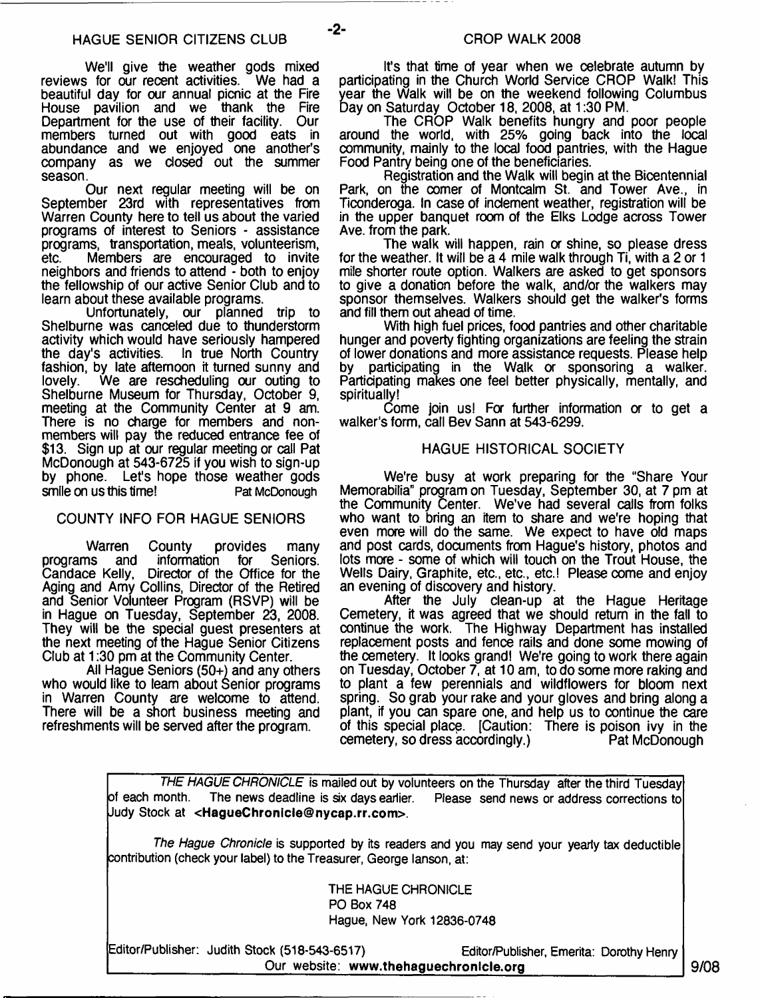We'll give the weather gods mixed<br>s for our recent activities. We had a reviews for our recent activities. beautiful day for our annual picnic at the Fire House pavilion and we thank the Fire Department for the use of their facility. Our members turned out with good eats in abundance and we enjoyed one another's company as we closed out the summer season.

Our next regular meeting will be on September 23rd with representatives from Warren County here to tell us about the varied programs of interest to Seniors - assistance programs, transportation, meals, volunteerism, Members are encouraged to invite neighbors and friends to attend - both to enjoy the fellowship of our active Senior Club and to learn about these available programs.

Unfortunately, our planned trip to Shelburne was canceled due to thunderstorm activity which would have seriously hampered<br>the day's activities. In true North Country In true North Country fashion, by late aftemoon it turned sunny and lovely. We are rescheduling our outing to We are rescheduling our outing to Shelburne Museum for Thursday, October 9, meeting at the Community Center at 9 am. There is no charge for members and nonmembers will pay the reduced entrance fee of \$13. Sign up at our regular meeting or call Pat McDonough at 543-6725 if you wish to sign-up by phone. Let's hope those weather gods smile on us this time! Pat McDonough

## COUNTY INFO FOR HAGUE SENIORS

Warren County provides many<br>ns and information for Seniors. programs and information Candace Kelly, Director of the Office for the Aging and Amy Collins, Director of the Retired and Senior Volunteer Program (RSVP) will be in Hague on Tuesday, September 23, 2008. They will be the special guest presenters at the next meeting of the Hague Senior Citizens Club at 1:30 pm at the Community Center.

All Hague Seniors (50+) and any others who would like to learn about Senior programs in Warren County are welcome to attend. There will be a short business meeting and refreshments will be served after the program.

It's that time of year when we celebrate autumn by participating in the Church World Service CROP Walk! This year the Walk will be on the weekend following Columbus Day on Saturday October 18, 2008, at 1:30 PM.

The CROP Walk benefits hungry and poor people around the world, with 25% going back into the local community, mainly to the local food pantries, with the Hague Food Pantry being one of the beneficiaries.

Registration and the Walk will begin at the Bicentennial Park, on the comer of Montcalm St. and Tower Ave., in Ticonderoga. In case of inclement weather, registration will be in the upper banquet room of the Elks Lodge across Tower Ave. from the park.

The walk will happen, rain or shine, so please dress for the weather. It will be a 4 mile walk through Ti, with a 2 or 1 mile shorter route option. Walkers are asked to get sponsors to give a donation before the walk, and/or the walkers may sponsor themselves. Walkers should get the walker's forms and fill them out ahead of time.

With high fuel prices, food pantries and other charitable hunger and poverty fighting organizations are feeling the strain of lower donations and more assistance requests. Please help participating in the Walk or sponsoring a walker. Participating makes one feel better physically, mentally, and spiritually!

Come join us! For further information or to get a walker's form, call Bev Sann at 543-6299.

#### HAGUE HISTORICAL SOCIETY

We're busy at work preparing for the "Share Your Memorabilia" program on Tuesday, September 30, at 7 pm at the Community Center. We've had several calls from folks who want to bring an item to share and we're hoping that even more will do the same. We expect to have old maps and post cards, documents from Hague's history, photos and lots more - some of which will touch on the Trout House, the Wells Dairy, Graphite, etc., etc., etc.! Please come and enjoy an evening of discovery and history.

After the July clean-up at the Hague Heritage Cemetery, it was agreed that we should return in the fall to continue the work. The Highway Department has installed replacement posts and fence rails and done some mowing of the cemetery. It looks grand! We're going to work there again on Tuesday, October 7, at 10 am, to do some more raking and to plant a few perennials and wildflowers for bloom next spring. So grab your rake and your gloves and bring along a plant, if you can spare one, and help us to continue the care of this special place. [Caution: There is poison ivy in the cemetery, so dress accordingly.) Pat McDonough cemetery, so dress accordingly.)

*THE HAGUE CHRONICLE* is mailed out by volunteers on the Thursday after the third Tuesday of each month. The news deadline is six days earlier. Please send news or address corrections to Judy Stock at **<[HagueChronicle@nycap.rr.com>](mailto:HagueChronicle@nycap.rr.com).**

*The Hague Chronicle* is supported by its readers and you may send your yearly tax deductible contribution (check your label) to the Treasurer, George lanson, at:

> THE HAGUE CHRONICLE PO Box 748 Hague, New York 12836-0748

Editor/Publisher: Judith Stock (518-543-6517) Editor/Publisher, Emerita: Dorothy Henry Our website: [www.thehaguechronlcle.org](http://www.thehaguechronlcle.org) **9/08** | 9/08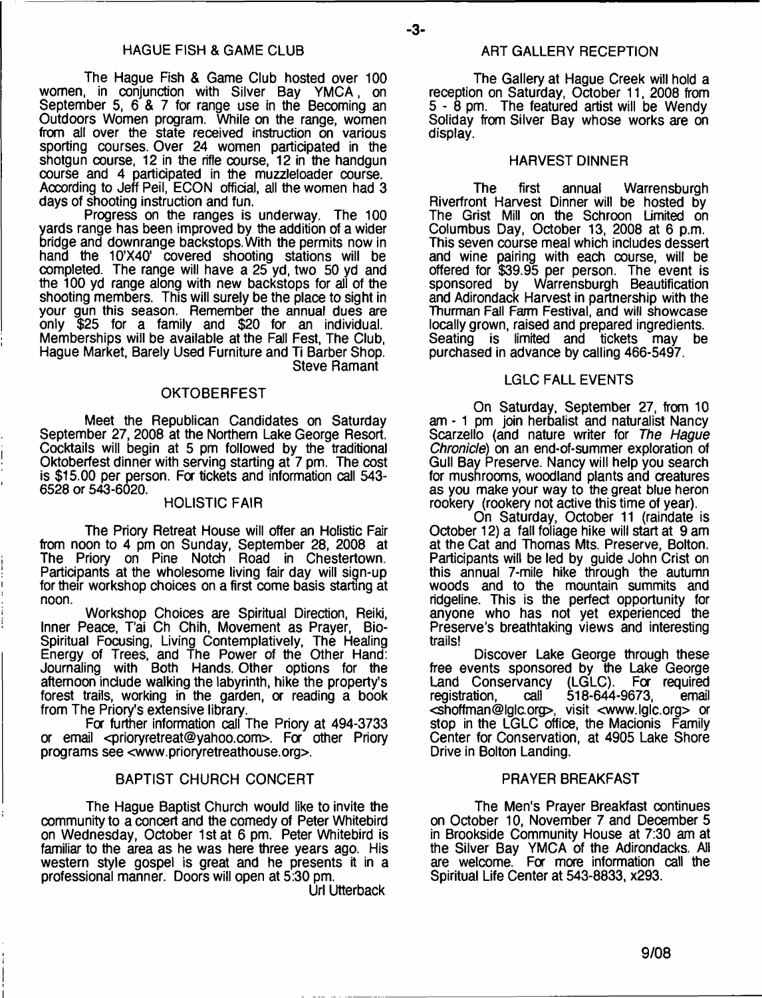The Hague Fish & Game Club hosted over 100 women, in conjunction with Silver Bay YMCA, on September 5, 6 & 7 for range use in the Becoming an Outdoors Women program. While on the range, women from all over the state received instruction on various sporting courses. Over 24 women participated in the shotgun course, 12 in the rifle course, 12 in the handgun course and 4 participated in the muzzleloader course. According to Jeff Peil, ECON official, all the women had 3 days of shooting instruction and fun.

Progress on the ranges is underway. The 100 yards range has been improved by the addition of a wider bridge and downrange backstops. With the permits now in hand the 10'X40' covered shooting stations will be completed. The range will have a 25 yd, two 50 yd and the 100 yd range along with new backstops for ail of the shooting members. This will surely be the place to sight in your gun this season. Remember the annual dues are only \$25 for a family and \$20 for an individual. Memberships will be available at the Fall Fest, The Club, Hague Market, Barely Used Furniture and Ti Barber Shop. Steve Ramant

## **OKTOBERFEST**

Meet the Republican Candidates on Saturday September 27,2008 at the Northern Lake George Resort. Cocktails will begin at 5 pm followed by the traditional Oktoberfest dinner with serving starting at 7 pm. The cost is \$15.00 per person. For tickets and information call 543- 6528 or 543-6020.

## HOLISTIC FAIR

The Priory Retreat House will offer an Holistic Fair from noon to 4 pm on Sunday, September 28, 2008 at The Priory on Pine Notch Road in Chestertown. Participants at the wholesome living fair day will sign-up for their workshop choices on a first come basis starting at noon.

Workshop Choices are Spiritual Direction, Reiki, Inner Peace, T'ai Ch Chih, Movement as Prayer, Bio-Spiritual Focusing, Living Contemplatively, The Healing Energy of Trees, and The Power of the Other Hand: Journaling with Both Hands. Other options for the afternoon include walking the labyrinth, hike the property's forest trails, working in the garden, or reading a book from The Priory's extensive library.

For further information call The Priory at 494-3733 or email <[prioryretreat@yahoo.com](mailto:prioryretreat@yahoo.com)>. For other Priory programs see [<www.prioryretreathouse.org>](http://www.prioryretreathouse.org).

#### BAPTIST CHURCH CONCERT

The Hague Baptist Church would like to invite the community to a concert and the comedy of Peter Whitebird on Wednesday, October 1st at 6 pm. Peter Whitebird is familiar to the area as he was here three years ago. His western style gospel is great and he presents it in a professional manner. Doors will open at 5:30 pm.

Url Utterback

#### ART GALLERY RECEPTION

The Gallery at Hague Creek will hold a reception on Saturday, October 11, 2008 from 5 - 8 pm. The featured artist will be Wendy Soliday from Silver Bay whose works are on display.

#### HARVEST DINNER

The first annual Warrensburgh Riverfront Harvest Dinner will be hosted by The Grist Mill on the Schroon Limited on Columbus Day, October 13, 2008 at 6 p.m. This seven course meal which includes dessert and wine pairing with each course, will be offered for \$39.95 per person. The event is sponsored by Warrensburgh Beautification and Adirondack Harvest in partnership with the Thurman Fall Farm Festival, and will showcase locally grown, raised and prepared ingredients. Seating is limited and tickets may be purchased in advance by calling 466-5497.

#### LGLC FALL EVENTS

On Saturday, September 27, from 10 am - 1 pm join herbalist and naturalist Nancy Scarzello (and nature writer for *The Hague Chronicle)* on an end-of-summer exploration of Gull Bay Preserve. Nancy will help you search for mushrooms, woodland plants and creatures as you make your way to the great blue heron rookery (rookery not active this time of year).

On Saturday, October 11 (raindate is October 12) a fall foliage hike will start at 9 am at the Cat and Thomas Mts. Preserve, Bolton. Participants will be led by guide John Crist on this annual 7-mile hike through the autumn woods and to the mountain summits and ridgeline. This is the perfect opportunity for anyone who has not yet experienced the Preserve's breathtaking views and interesting trails!

Discover Lake George through these free events sponsored by the Lake George Land Conservancy (LGLC). For required<br>registration. call 518-644-9673, email 518-644-9673, <[shoffman@lglc.org](mailto:shoffman@lglc.org)>, visit <[www.lglc.org>](http://www.lglc.org) or stop in the LGLC office, the Macionis Family Center for Conservation, at 4905 Lake Shore Drive in Bolton Landing.

#### PRAYER BREAKFAST

The Men's Prayer Breakfast continues on October 10, November 7 and December 5 in Brookside Community House at 7:30 am at the Silver Bay YMCA of the Adirondacks. All are welcome. For more information call the Spiritual Life Center at 543-8833, x293.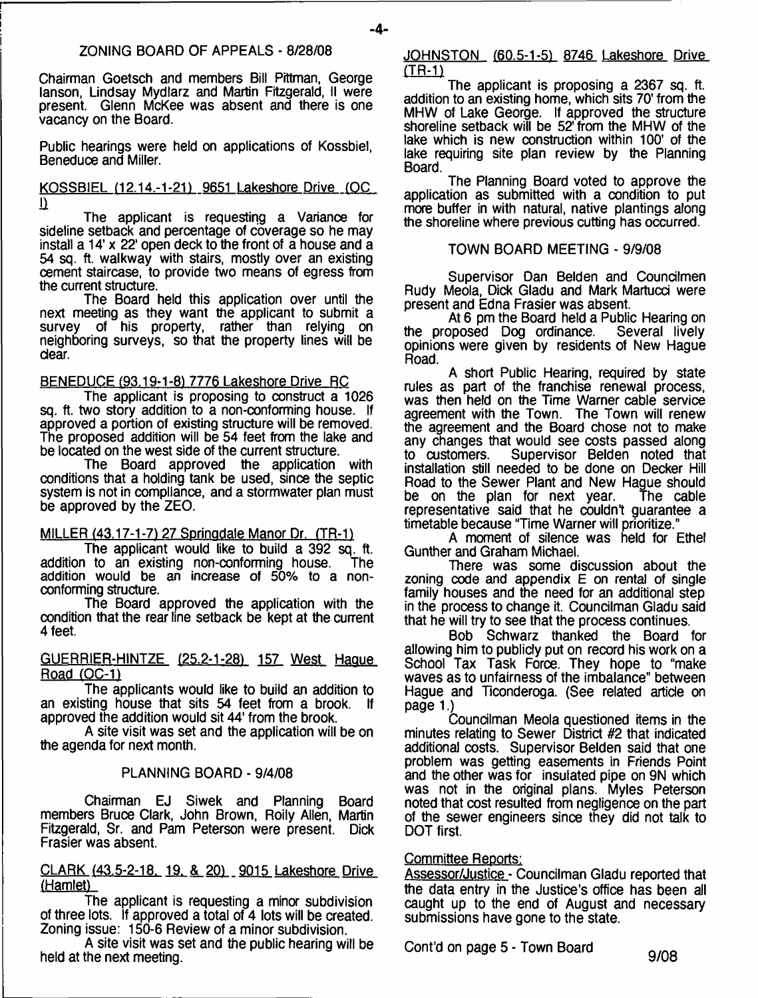## ZONING BOARD OF APPEALS - 8/28/08

**-4-**

Chairman Goetsch and members Bill Pittman, George lanson, Lindsay Mydlarz and Martin Fitzgerald, II were present. Glenn McKee was absent and there is one vacancy on the Board.

Public hearings were held on applications of Kossbiel, Beneduce and Miller.

#### KOSSBIEL (12.14.-1-21) 9651 Lakeshore Drive (OC  $\overline{\mathbf{u}}$

The applicant is requesting a Variance for sideline setback and percentage of coverage so he may install a 14' x 22' open deck to the front of a house and a 54 sq. ft. walkway with stairs, mostly over an existing cement staircase, to provide two means of egress from the current structure.

The Board held this application over until the next meeting as they want the applicant to submit a survey of his property, rather than relying on neighboring surveys, so that the property lines will be dear.

## BENEDUCE (93.19-1-81 7776 Lakeshore Drive RC

The applicant is proposing to construct a 1026 sq. ft. two story addition to a non-conforming house. If approved a portion of existing structure will be removed. The proposed addition will be 54 feet from the lake and be located on the west side of the current structure.

The Board approved the application with conditions that a holding tank be used, since the septic system is not in compliance, and a stormwater plan must be approved by the ZEO.

MILLER (43.17-1-7) 27 Springdale Manor Dr. (TR-1)

The applicant would like to build a 392 sq. ft.<br>I to an existing non-conforming house. The addition to an existing non-conforming house. addition would be an increase of 50% to a nonconforming structure.

The Board approved the application with the condition that the rear line setback be kept at the current 4 feet.

## GUERRIER-HINTZE <25.2-1-281 157 West Hague Road (OC-1)

The applicants would like to build an addition to an existing house that sits 54 feet from a brook. approved the addition would sit 44' from the brook.

A site visit was set and the application will be on the agenda for next month.

## PLANNING BOARD - 9/4/08

Chairman EJ Siwek and Planning Board members Bruce Clark, John Brown, Roily Allen, Martin Fitzgerald, Sr. and Pam Peterson were present. Dick Frasier was absent.

CLARK (43.5-2-18. 19. & 201 9015 Lakeshore Drive (Hamlet)

The applicant is requesting a minor subdivision of three lots. If approved a total of 4 lots will be created. Zoning issue: 150-6 Review of a minor subdivision.

A site visit was set and the public hearing will be held at the next meeting.

#### JOHNSTON (60.5-1-5) 8746 Lakeshore Drive  $(TR-1)$

The applicant is proposing a 2367 sq. ft. addition to an existing home, which sits 70' from the MHW of Lake George. If approved the structure shoreline setback will be 52' from the MHW of the lake which is new construction within 100' of the lake requiring site plan review by the Planning Board.

The Planning Board voted to approve the application as submitted with a condition to put more buffer in with natural, native plantings along the shoreline where previous cutting has occurred.

## TOWN BOARD MEETING - 9/9/08

Supervisor Dan Belden and Coundlmen Rudy Meola, Dick Gladu and Mark Martucci were present and Edna Frasier was absent.

At 6 pm the Board held a Public Hearing on<br>popsed Dog ordinance. Several lively the proposed Dog ordinance. opinions were given by residents of New Hague Road.

A short Public Hearing, required by state rules as part of the franchise renewal process, was then held on the Time Warner cable service agreement with the Town. The Town will renew the agreement and the Board chose not to make any changes that would see costs passed along<br>to customers. Supervisor Belden noted that Supervisor Belden noted that installation still needed to be done on Decker Hill Road to the Sewer Plant and New Hague should<br>be on the plan for next year. The cable be on the plan for next year. representative said that he couldn't guarantee a timetable because "Time Warner will prioritize."

A moment of silence was held for Ethel Gunther and Graham Michael.

There was some discussion about the zoning code and appendix E on rental of single family houses and the need for an additional step in the process to change it. Councilman Gladu said that he will try to see that the process continues.

Bob Schwarz thanked the Board for allowing him to publicly put on record his work on a School Tax Task Force. They hope to "make waves as to unfairness of the imbalance" between Hague and Ticonderoga. (See related article on page 1.)

Councilman Meola questioned items in the minutes relating to Sewer District #2 that indicated additional costs. Supervisor Belden said that one problem was getting easements in Friends Point and the other was for insulated pipe on 9N which was not in the original plans. Myles Peterson noted that cost resulted from negligence on the part of the sewer engineers since they did not talk to DOT first.

## Committee Reports:

Assessor/Justice - Councilman Gladu reported that the data entry in the Justice's office has been all caught up to the end of August and necessary submissions have gone to the state.

Cont'd on page 5 - Town Board G/08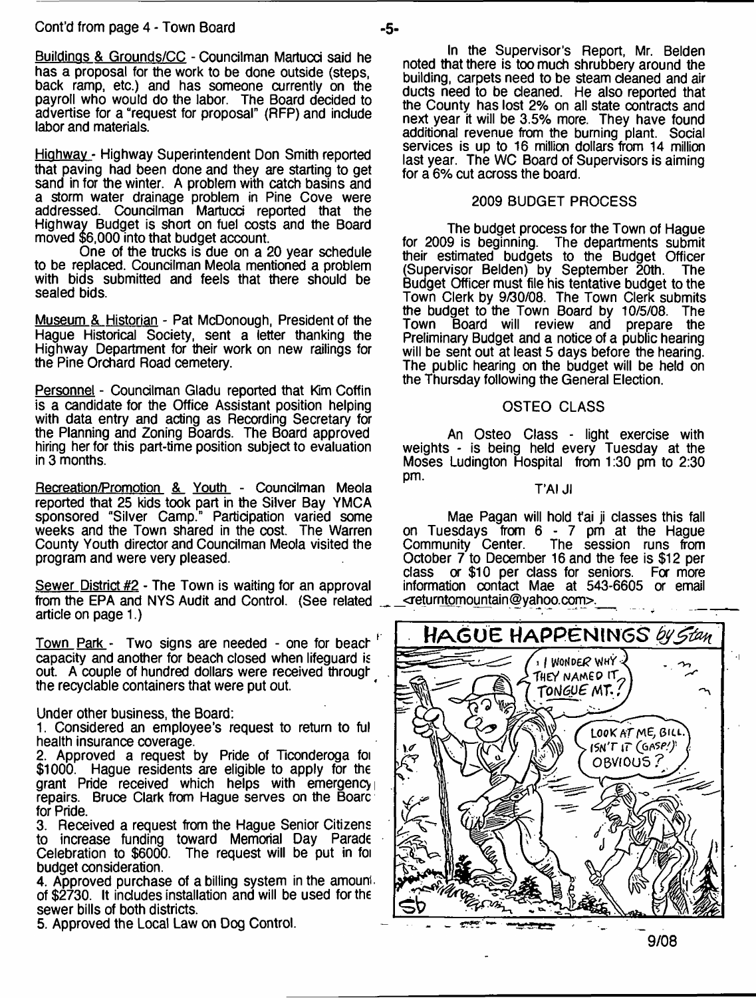Buildinas & Grounds/CC - Councilman Martucd said he has a proposal for the work to be done outside (steps, back ramp, etc.) and has someone currently on the payroll who would do the labor. The Board decided to advertise for a "request for proposal" (RFP) and include labor and materials.

Highway - Highway Superintendent Don Smith reported that paving had been done and they are starting to get sand in for the winter. A problem with catch basins and a storm water drainage problem in Pine Cove were addressed. Councilman Martucci reported that the Highway Budget is short on fuel costs and the Board moved \$6,000 into that budget account.

One of the trucks is due on a 20 year schedule to be replaced. Councilman Meola mentioned a problem with bids submitted and feels that there should be sealed bids.

Museum & Historian - Pat McDonough, President of the Hague Historical Society, sent a letter thanking the Highway Department for their work on new railings for the Pine Orchard Road cemetery.

Personnel - Coundlman Gladu reported that Kim Coffin is a candidate for the Office Assistant position helping with data entry and acting as Recording Secretary for the Planning and Zoning Boards. The Board approved hiring her for this part-time position subject to evaluation in 3 months.

Recreation/Promotion & Youth - Councilman Meola reported that 25 kids took part in the Silver Bay YMCA sponsored "Silver Camp." Participation varied some weeks and the Town shared in the cost. The Warren County Youth director and Coundlman Meola visited the program and were very pleased.

Sewer District #2 - The Town is waiting for an approval from the EPA and NYS Audit and Control. (See related article on page 1.)

Town Park - Two signs are needed - one for beach capacity and another for beach closed when lifeguard is out. A couple of hundred dollars were received through the recydable containers that were put out.

Under other business, the Board:

1. Considered an employee's request to return to ful health insurance coverage.

2. Approved a request by Pride of Ticonderoga foi \$1000. Hague residents are eligible to apply for the grant Pride received which helps with emergency repairs. Bruce Clark from Hague serves on the Boarc for Pride.

3. Received a request from the Hague Senior Citizens to increase funding toward Memorial Day Parade Celebration to \$6000. The request will be put in foi budget consideration.

4. Approved purchase of a billing system in the amount. of \$2730. It includes installation and will be used for the sewer bills of both districts.

5. Approved the Local Law on Dog Control.

## 2009 BUDGET PROCESS

The budget process for the Town of Hague for 2009 is beginning. The departments submit their estimated budgets to the Budget Officer<br>(Supervisor Belden) by September 20th. The (Supervisor Belden) by September 20th. Budget Officer must file his tentative budget to the Town Clerk by 9/30/08. The Town Clerk submits the budget to the Town Board by 10/5/08. The Town Board will review and prepare the Preliminary Budget and a notice of a public hearing will be sent out at least 5 days before the hearing. The public hearing on the budget will be held on the Thursday following the General Election.

## OSTEO CLASS

An Osteo Class - light exercise with weights - is being held every Tuesday at the Moses Ludington Hospital from 1:30 pm to 2:30 pm.

## T'AI Jl

Mae Pagan will hold t'ai ji classes this fall on Tuesdays from 6 - 7 pm at the Hague<br>Community Center. The session runs from The session runs from October 7 to December 16 and the fee is \$12 per class or \$10 per class for seniors. For more information contact Mae at 543-6605 or email  $\leq$ returntomountain@yahoo.com>.



**9/08**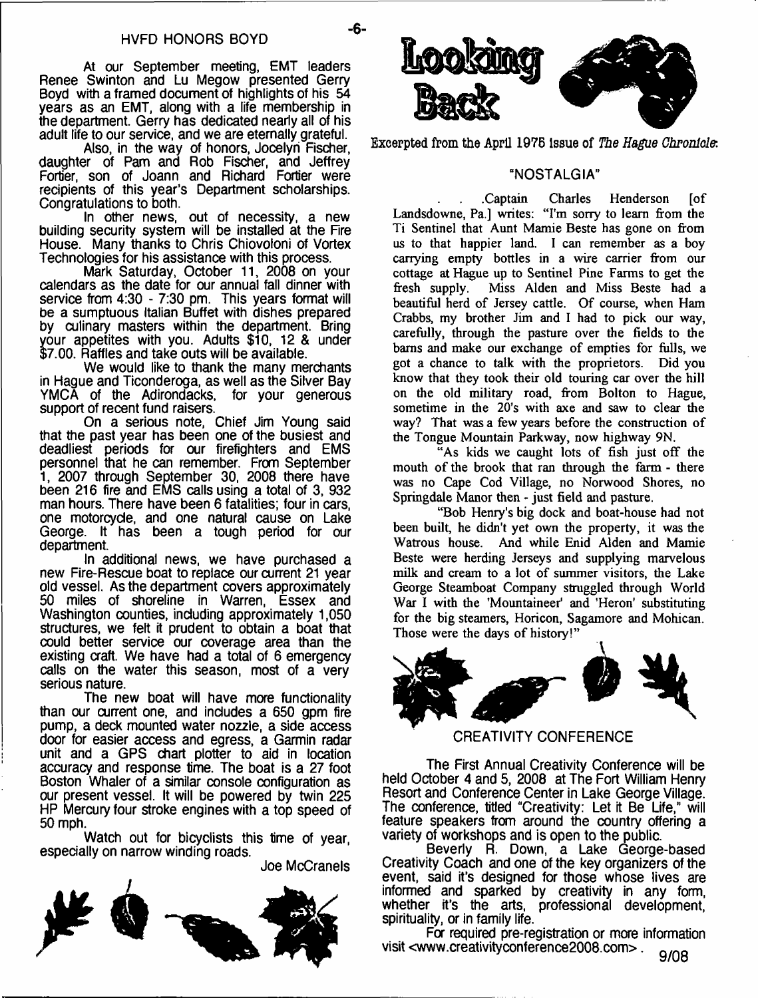At our September meeting, EMT leaders Renee Swinton and Lu Megow presented Gerry Boyd with a framed document of highlights of his 54 years as an EMT, along with a life membership in the department. Gerry has dedicated nearly all of his adult life to our service, and we are eternally grateful.

Also, in the way of honors, Jocelyn Fischer, daughter of Pam and Rob Fischer, and Jeffrey Fortier, son of Joann and Richard Fortier were recipients of this year's Department scholarships. Congratulations to both.

In other news, out of necessity, a new building security system will be installed at the Fire House. Many thanks to Chris Chiovoloni of Vortex Technologies for his assistance with this process.

Mark Saturday, October 11, 2008 on your calendars as the date for our annual fall dinner with service from 4:30 - 7:30 pm. This years format will be a sumptuous Italian Buffet with dishes prepared by culinary masters within the department. Bring your appetites with you. Adults \$10, 12 & under \$7.00. Raffles and take outs will be available.

We would like to thank the many merchants in Hague and Ticonderoga, as well as the Silver Bay YMCA of the Adirondacks, for your generous support of recent fund raisers.

On a serious note, Chief Jim Young said that the past year has been one of the busiest and deadliest periods for our firefighters and EMS personnel that he can remember. From September 1, 2007 through September 30, 2008 there have been 216 fire and EMS calls using a total of 3, 932 man hours. There have been 6 fatalities; four in cars, one motorcycle, and one natural cause on Lake George. It has been a tough period for our department.

In additional news, we have purchased a new Fire-Rescue boat to replace our current 21 year old vessel. As the department covers approximately 50 miles of shoreline in Warren, Essex and Washington counties, including approximately 1,050 structures, we felt it prudent to obtain a boat that could better service our coverage area than the existing craft. We have had a total of 6 emergency calls on the water this season, most of a very serious nature.

The new boat will have more functionality than our current one, and includes a 650 gpm fire pump, a deck mounted water nozzle, a side access door for easier access and egress, a Garmin radar unit and a GPS chart plotter to aid in location accuracy and response time. The boat is a 27 foot Boston Whaler of a similar console configuration as our present vessel. It will be powered by twin 225 HP Mercury four stroke engines with a top speed of 50 mph.

Watch out for bicyclists this time of year, especially on narrow winding roads.

Joe McCranels





**Excerpted from the April 1976 Issue of** *The Hague Chronicle:*

## "NOSTALGIA"

.Captain Charles Henderson [of Landsdowne, Pa.] writes: "I'm sorry to learn from the Ti Sentinel that Aunt Mamie Beste has gone on from us to that happier land. I can remember as a boy carrying empty bottles in a wire carrier from our cottage at Hague up to Sentinel Pine Farms to get the fresh supply. Miss Alden and Miss Beste had a beautiful herd of Jersey cattle. Of course, when Ham Crabbs, my brother Jim and I had to pick our way, carefully, through the pasture over the fields to the bams and make our exchange of empties for fulls, we got a chance to talk with the proprietors. Did you know that they took their old touring car over the hill on the old military road, from Bolton to Hague, sometime in the 20's with axe and saw to clear the way? That was a few years before the construction of the Tongue Mountain Parkway, now highway 9N.

"As kids we caught lots of fish just off the mouth of the brook that ran through the farm - there was no Cape Cod Village, no Norwood Shores, no Springdale Manor then - just field and pasture.

"Bob Henry's big dock and boat-house had not been built, he didn't yet own the property, it was the Watrous house. And while Enid Alden and Mamie Beste were herding Jerseys and supplying marvelous milk and cream to a lot of summer visitors, the Lake George Steamboat Company struggled through World War I with the 'Mountaineer' and 'Heron' substituting for the big steamers, Horicon, Sagamore and Mohican. Those were the days of history!"



CREATIVITY CONFERENCE

The First Annual Creativity Conference will be held October 4 and 5, 2008 at The Fort William Henry Resort and Conference Center in Lake George Village. The conference, titled "Creativity: Let it Be Life," will feature speakers from around the country offering a variety of workshops and is open to the public.

Beverly R. Down, a Lake George-based Creativity Coach and one of the key organizers of the event, said it's designed for those whose lives are informed and sparked by creativity in any form, whether it's the arts, professional development, spirituality, or in family life.

For required pre-registration or more information visit <[www.creativityconference2008.com](http://www.creativityconference2008.com)> . Q /no **y/uo**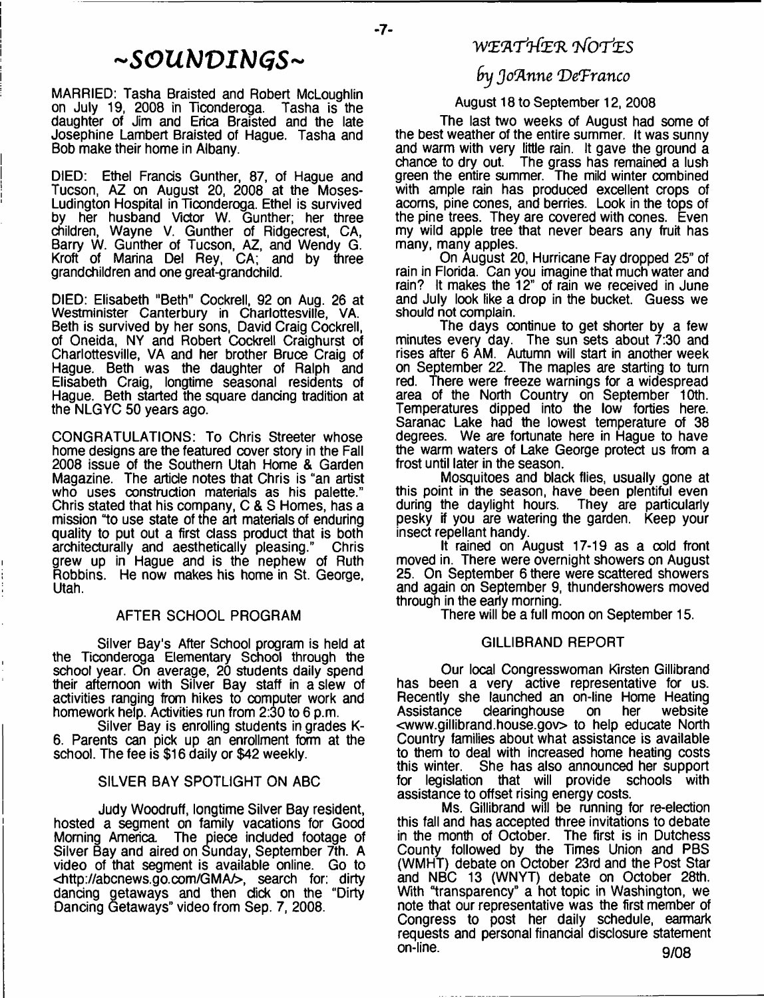# *-SGUhJVIbJGS-*

MARRIED: Tasha Braisted and Robert McLoughlin on July 19, 2008 in Ticonderoga. Tasha is the daughter of Jim and Erica Braisted and the late Josephine Lambert Braisted of Hague. Tasha and Bob make their home in Albany.

DIED: Ethel Francis Gunther, 87, of Hague and Tucson, AZ on August 20, 2008 at the Moses-Ludington Hospital in Ticonderoga. Ethel is survived by her husband Victor W. Gunther; her three children, Wayne V. Gunther of Ridgecrest, CA, Barry W. Gunther of Tucson, AZ, and Wendy G. Kroft of Marina Del Rey, CA; and by three grandchildren and one great-grandchild.

DIED: Elisabeth "Beth" Cockrell, 92 on Aug. 26 at Westminister Canterbury in Charlottesville, VA. Beth is survived by her sons, David Craig Cockrell, of Oneida, NY and Robert Cockrell Craighurst of Charlottesville, VA and her brother Bruce Craig of Hague. Beth was the daughter of Ralph and Elisabeth Craig, longtime seasonal residents of Hague. Beth started the square dancing tradition at the NLGYC 50 years ago.

CONGRATULATIONS: To Chris Streeter whose home designs are the featured cover story in the Fall 2008 issue of the Southern Utah Home & Garden Magazine. The article notes that Chris is "an artist who uses construction materials as his palette." Chris stated that his company, C & S Homes, has a mission "to use state of the art materials of enduring quality to put out a first class product that is both architecturally and aesthetically pleasing." Chris architecturally and aesthetically pleasing." grew up in Hague and is the nephew of Ruth Robbins. He now makes his home in St. George, Utah.

#### AFTER SCHOOL PROGRAM

Silver Bay's After School program is held at the Ticonderoga Elementary School through the school year. On average, 20 students daily spend their afternoon with Silver Bay staff in a slew of activities ranging from hikes to computer work and homework help. Activities run from 2:30 to 6 p.m.

Silver Bay is enrolling students in grades K-6. Parents can pick up an enrollment form at the school. The fee is \$16 daily or \$42 weekly.

## SILVER BAY SPOTLIGHT ON ABC

Judy Woodruff, longtime Silver Bay resident, hosted a segment on family vacations for Good Morning America The piece included footage of Silver Bay and aired on Sunday, September 7th. A video of that segment is available online. Go to <<http://abcnews.go.com/GMA/>>, search for: dirty dancing getaways and then dick on the "Dirty Dancing Getaways" video from Sep. 7, 2008.

# **W E 'A 'rt& 'R** *rhfOrrJ'ES*

 $-7-$ 

# *fnj Jo'Anne (DeTranco*

## August 18 to September 12, 2008

The last two weeks of August had some of the best weather of the entire summer. It was sunny and warm with very little rain. It gave the ground a chance to dry out. The grass has remained a lush green the entire summer. The mild winter combined with ample rain has produced excellent crops of acorns, pine cones, and berries. Look in the tops of the pine trees. They are covered with cones. Even my wild apple tree that never bears any fruit has many, many apples.

On August 20, Hurricane Fay dropped 25" of rain in Florida. Can you imagine that much water and rain? It makes the 12" of rain we received in June and July look like a drop in the bucket. Guess we should not complain.

The days continue to get shorter by a few minutes every day. The sun sets about 7:30 and rises after 6 AM. Autumn will start in another week on September 22. The maples are starting to turn red. There were freeze warnings for a widespread area of the North Country on September 10th. Temperatures dipped into the low forties here. Saranac Lake had the lowest temperature of 38 degrees. We are fortunate here in Hague to have the warm waters of Lake George protect us from a frost until later in the season.

Mosquitoes and black flies, usually gone at this point in the season, have been plentiful even during the daylight hours. They are particularly pesky if you are watering the garden. Keep your insect repellant handy.

It rained on August 17-19 as a cold front moved in. There were overnight showers on August 25. On September 6 there were scattered showers and again on September 9, thundershowers moved through in the early morning.

There will be a full moon on September 15.

#### GILLIBRAND REPORT

Our local Congresswoman Kirsten Gillibrand has been a very active representative for us. Recently she launched an on-line Home Heating Assistance clearinghouse on her website [<www.gillibrand.house.gov](http://www.gillibrand.house.gov)> to help educate North Country families about what assistance is available to them to deal with increased home heating costs<br>this winter. She has also announced her support She has also announced her support for legislation that will provide schools with assistance to offset rising energy costs.

Ms. Gillibrand will be running for re-election this fall and has accepted three invitations to debate in the month of October. The first is in Dutchess County followed by the Times Union and PBS (WMHT) debate on October 23rd and the Post Star and NBC 13 (WNYT) debate on October 28th. With "transparency" a hot topic in Washington, we note that our representative was the first member of Congress to post her daily schedule, earmark requests and personal financial disclosure statement on-line. **Q/08**